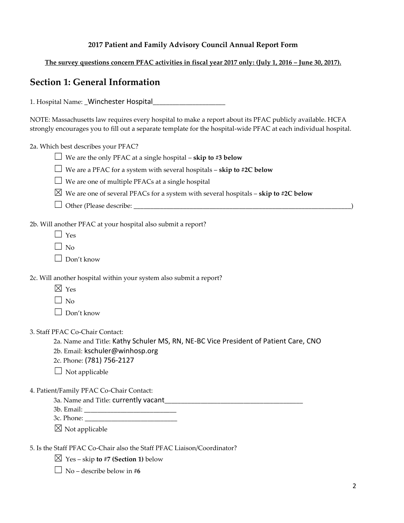### **2017 Patient and Family Advisory Council Annual Report Form**

The survey questions concern PFAC activities in fiscal year 2017 only: (July 1, 2016 – June 30, 2017).

## **Section 1: General Information**

1. Hospital Name: \_Winchester Hospital\_\_\_\_\_\_\_\_\_\_\_\_\_\_\_\_\_\_\_\_\_\_

NOTE: Massachusetts law requires every hospital to make a report about its PFAC publicly available. HCFA strongly encourages you to fill out a separate template for the hospital-wide PFAC at each individual hospital.

2a. Which best describes your PFAC?

- $\Box$  We are the only PFAC at a single hospital **skip to #3 below**
- ☐ We are a PFAC for a system with several hospitals **skip to #2C below**
- $\Box$  We are one of multiple PFACs at a single hospital
- $\boxtimes$  We are one of several PFACs for a system with several hospitals **skip to #2C below**
- ☐ Other (Please describe: \_\_\_\_\_\_\_\_\_\_\_\_\_\_\_\_\_\_\_\_\_\_\_\_\_\_\_\_\_\_\_\_\_\_\_\_\_\_\_\_\_\_\_\_\_\_\_\_\_\_\_\_\_\_\_\_\_\_\_\_\_\_\_\_\_\_)

2b. Will another PFAC at your hospital also submit a report?

- $\Box$  Yes
- $\Box$  No
- $\Box$  Don't know

2c. Will another hospital within your system also submit a report?

- $\boxtimes$  Yes
- $\Box$  No

 $\Box$  Don't know

3. Staff PFAC Co-Chair Contact:

2a. Name and Title: Kathy Schuler MS, RN, NE-BC Vice President of Patient Care, CNO

- 2b. Email: kschuler@winhosp.org
- 2c. Phone: (781) 756-2127
- $\Box$  Not applicable
- 4. Patient/Family PFAC Co-Chair Contact:
	- 3a. Name and Title: currently vacant\_\_\_\_\_\_\_\_\_\_\_\_\_\_\_\_\_\_\_\_\_\_\_\_\_\_\_\_\_\_\_\_\_\_\_\_\_\_\_\_\_\_
	- 3b. Email: \_\_\_\_\_\_\_\_\_\_\_\_\_\_\_\_\_\_\_\_\_\_\_\_\_\_\_\_
	- 3c. Phone: \_\_\_\_\_\_\_\_\_\_\_\_\_\_\_\_\_\_\_\_\_\_\_\_\_\_\_\_

 $\boxtimes$  Not applicable

5. Is the Staff PFAC Co-Chair also the Staff PFAC Liaison/Coordinator?

 $\boxtimes$  Yes – skip **to** #7 (Section 1) below

 $\Box$  No – describe below in #6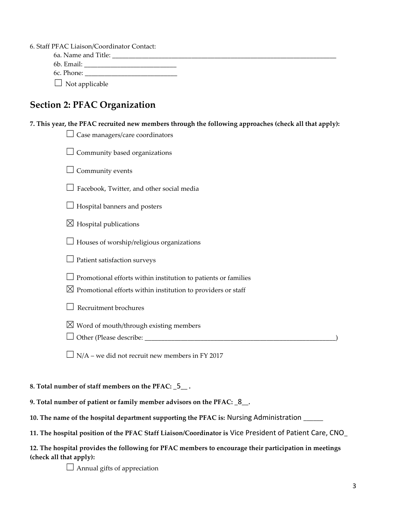6. Staff PFAC Liaison/Coordinator Contact:

| 6a. Name and Title:   |  |
|-----------------------|--|
| 6b. Email:            |  |
| 6c. Phone:            |  |
| $\Box$ Not applicable |  |

# **Section 2: PFAC Organization**

| 7. This year, the PFAC recruited new members through the following approaches (check all that apply): |
|-------------------------------------------------------------------------------------------------------|
| Case managers/care coordinators                                                                       |
| Community based organizations                                                                         |
| Community events                                                                                      |
| Facebook, Twitter, and other social media                                                             |
| Hospital banners and posters                                                                          |
| $\boxtimes$ Hospital publications                                                                     |
| Houses of worship/religious organizations                                                             |
| Patient satisfaction surveys                                                                          |
| Promotional efforts within institution to patients or families                                        |
| $\boxtimes$ Promotional efforts within institution to providers or staff                              |
| Recruitment brochures                                                                                 |
| $\boxtimes$ Word of mouth/through existing members                                                    |
| Other (Please describe: __________                                                                    |
| N/A - we did not recruit new members in FY 2017                                                       |

### **8. Total number of staff members on the PFAC: \_**5**\_\_ .**

**9. Total number of patient or family member advisors on the PFAC: \_**8**\_\_.** 

| 10. The name of the hospital department supporting the PFAC is: Nursing Administration _ |  |  |  |  |
|------------------------------------------------------------------------------------------|--|--|--|--|
|------------------------------------------------------------------------------------------|--|--|--|--|

**11. The hospital position of the PFAC Staff Liaison/Coordinator is** Vice President of Patient Care, CNO**\_**

| 12. The hospital provides the following for PFAC members to encourage their participation in meetings |  |
|-------------------------------------------------------------------------------------------------------|--|
| (check all that apply):                                                                               |  |

□ Annual gifts of appreciation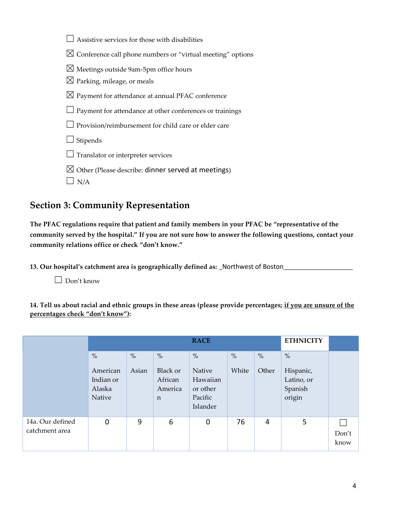| Assistive services for those with disabilities                         |
|------------------------------------------------------------------------|
| $\boxtimes$ Conference call phone numbers or "virtual meeting" options |
| $\boxtimes$ Meetings outside 9am-5pm office hours                      |
| $\boxtimes$ Parking, mileage, or meals                                 |
| $\boxtimes$ Payment for attendance at annual PFAC conference           |
| $\perp$ Payment for attendance at other conferences or trainings       |
| $\Box$ Provision/reimbursement for child care or elder care            |
| Stipends                                                               |
| Translator or interpreter services                                     |
| $\boxtimes$ Other (Please describe: dinner served at meetings)         |
| N/A                                                                    |

# **Section 3: Community Representation**

**The PFAC regulations require that patient and family members in your PFAC be "representative of the community served by the hospital." If you are not sure how to answer the following questions, contact your community relations office or check "don't know."**

**13. Our hospital's catchment area is geographically defined as: \_**Northwest of Boston**\_\_\_\_\_\_\_\_\_\_\_\_\_\_\_\_\_\_\_\_\_**

☐ Don't know

**14. Tell us about racial and ethnic groups in these areas (please provide percentages; if you are unsure of the percentages check "don't know"):**

|                                    | <b>RACE</b>                                       |               |                                                                |                                                               |               |               |                                                      |               |
|------------------------------------|---------------------------------------------------|---------------|----------------------------------------------------------------|---------------------------------------------------------------|---------------|---------------|------------------------------------------------------|---------------|
|                                    | $\%$<br>American<br>Indian or<br>Alaska<br>Native | $\%$<br>Asian | $\frac{0}{0}$<br>Black or<br>African<br>America<br>$\mathbf n$ | $\%$<br>Native<br>Hawaiian<br>or other<br>Pacific<br>Islander | $\%$<br>White | $\%$<br>Other | $\%$<br>Hispanic,<br>Latino, or<br>Spanish<br>origin |               |
| 14a. Our defined<br>catchment area | $\mathbf 0$                                       | 9             | 6                                                              | 0                                                             | 76            | 4             | 5                                                    | Don't<br>know |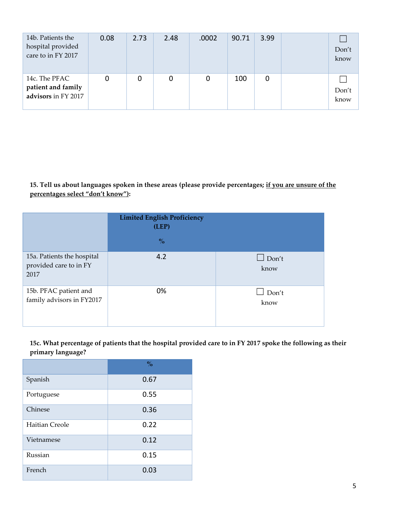| 14b. Patients the<br>hospital provided<br>care to in FY 2017 | 0.08 | 2.73 | 2.48 | .0002 | 90.71 | 3.99 | Don't<br>know |
|--------------------------------------------------------------|------|------|------|-------|-------|------|---------------|
| 14c. The PFAC<br>patient and family<br>advisors in FY 2017   | 0    |      | 0    | 0     | 100   | 0    | Don't<br>know |

**15. Tell us about languages spoken in these areas (please provide percentages; if you are unsure of the percentages select "don't know"):**

|                                                              | <b>Limited English Proficiency</b><br>(LEP) |                      |
|--------------------------------------------------------------|---------------------------------------------|----------------------|
|                                                              | $\frac{0}{0}$                               |                      |
| 15a. Patients the hospital<br>provided care to in FY<br>2017 | 4.2                                         | $\Box$ Don't<br>know |
| 15b. PFAC patient and<br>family advisors in FY2017           | 0%                                          | Don't<br>know        |

**15c. What percentage of patients that the hospital provided care to in FY 2017 spoke the following as their primary language?**

|                | $\frac{0}{0}$ |
|----------------|---------------|
| Spanish        | 0.67          |
| Portuguese     | 0.55          |
| Chinese        | 0.36          |
| Haitian Creole | 0.22          |
| Vietnamese     | 0.12          |
| Russian        | 0.15          |
| French         | 0.03          |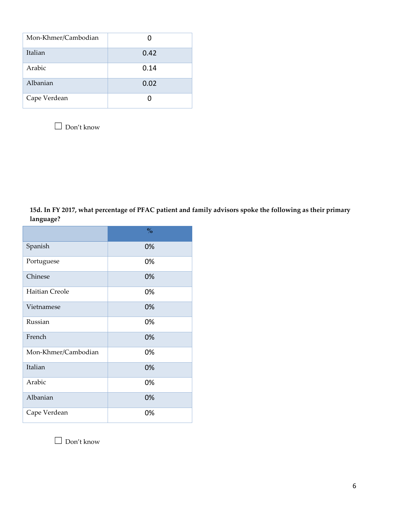| Mon-Khmer/Cambodian |      |
|---------------------|------|
| Italian             | 0.42 |
| Arabic              | 0.14 |
| Albanian            | 0.02 |
| Cape Verdean        |      |

 $\Box$  Don't know

**15d. In FY 2017, what percentage of PFAC patient and family advisors spoke the following as their primary language?**

|                     | $\frac{0}{0}$ |
|---------------------|---------------|
| Spanish             | 0%            |
| Portuguese          | 0%            |
| Chinese             | 0%            |
| Haitian Creole      | 0%            |
| Vietnamese          | 0%            |
| Russian             | 0%            |
| French              | 0%            |
| Mon-Khmer/Cambodian | 0%            |
| Italian             | 0%            |
| Arabic              | 0%            |
| Albanian            | 0%            |
| Cape Verdean        | 0%            |

☐ Don't know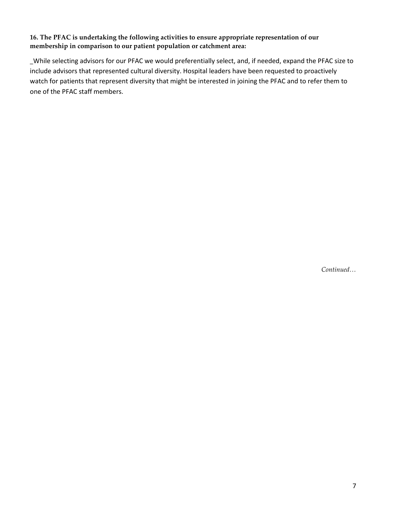### **16. The PFAC is undertaking the following activities to ensure appropriate representation of our membership in comparison to our patient population or catchment area:**

**\_**While selecting advisors for our PFAC we would preferentially select, and, if needed, expand the PFAC size to include advisors that represented cultural diversity. Hospital leaders have been requested to proactively watch for patients that represent diversity that might be interested in joining the PFAC and to refer them to one of the PFAC staff members.

*Continued…*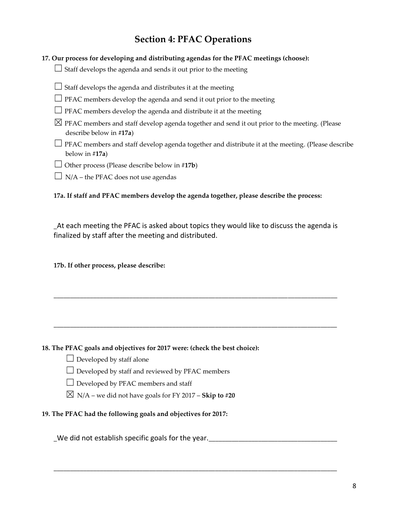# **Section 4: PFAC Operations**

|  |  |  | 17. Our process for developing and distributing agendas for the PFAC meetings (choose): |  |
|--|--|--|-----------------------------------------------------------------------------------------|--|
|--|--|--|-----------------------------------------------------------------------------------------|--|

 $\Box$  Staff develops the agenda and sends it out prior to the meeting

- $\Box$  Staff develops the agenda and distributes it at the meeting
- $\Box$  PFAC members develop the agenda and send it out prior to the meeting
- $\Box$  PFAC members develop the agenda and distribute it at the meeting
- $\boxtimes$  PFAC members and staff develop agenda together and send it out prior to the meeting. (Please describe below in **#17a**)
- □ PFAC members and staff develop agenda together and distribute it at the meeting. (Please describe below in #**17a**)
- ☐ Other process (Please describe below in #**17b**)
- $\Box$  N/A the PFAC does not use agendas

**17a. If staff and PFAC members develop the agenda together, please describe the process:** 

**\_**At each meeting the PFAC is asked about topics they would like to discuss the agenda is finalized by staff after the meeting and distributed.

**\_\_\_\_\_\_\_\_\_\_\_\_\_\_\_\_\_\_\_\_\_\_\_\_\_\_\_\_\_\_\_\_\_\_\_\_\_\_\_\_\_\_\_\_\_\_\_\_\_\_\_\_\_\_\_\_\_\_\_\_\_\_\_\_\_\_\_\_\_\_\_\_\_\_\_\_\_\_\_\_\_\_\_\_\_\_**

**\_\_\_\_\_\_\_\_\_\_\_\_\_\_\_\_\_\_\_\_\_\_\_\_\_\_\_\_\_\_\_\_\_\_\_\_\_\_\_\_\_\_\_\_\_\_\_\_\_\_\_\_\_\_\_\_\_\_\_\_\_\_\_\_\_\_\_\_\_\_\_\_\_\_\_\_\_\_\_\_\_\_\_\_\_\_**

**\_\_\_\_\_\_\_\_\_\_\_\_\_\_\_\_\_\_\_\_\_\_\_\_\_\_\_\_\_\_\_\_\_\_\_\_\_\_\_\_\_\_\_\_\_\_\_\_\_\_\_\_\_\_\_\_\_\_\_\_\_\_\_\_\_\_\_\_\_\_\_\_\_\_\_\_\_\_\_\_\_\_\_\_\_\_**

**17b. If other process, please describe:**

### **18. The PFAC goals and objectives for 2017 were: (check the best choice):**

- $\Box$  Developed by staff alone
- $\Box$  Developed by staff and reviewed by PFAC members
- $\Box$  Developed by PFAC members and staff
- $\boxtimes$  N/A we did not have goals for FY 2017 **Skip to #20**

**19. The PFAC had the following goals and objectives for 2017:** 

**\_**We did not establish specific goals for the year.**\_\_\_\_\_\_\_\_\_\_\_\_\_\_\_\_\_\_\_\_\_\_\_\_\_\_\_\_\_\_\_\_\_\_\_\_\_\_\_**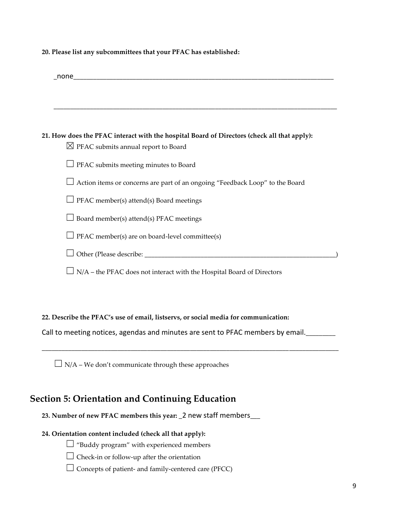| 20. Please list any subcommittees that your PFAC has established: |  |  |  |  |
|-------------------------------------------------------------------|--|--|--|--|
|-------------------------------------------------------------------|--|--|--|--|

| none and the state of the state of the state of the state of the state of the state of the state of the state |
|---------------------------------------------------------------------------------------------------------------|
|                                                                                                               |
|                                                                                                               |
|                                                                                                               |
| 21. How does the PFAC interact with the hospital Board of Directors (check all that apply):                   |
| $\boxtimes$ PFAC submits annual report to Board                                                               |
| $\Box$ PFAC submits meeting minutes to Board                                                                  |
| Action items or concerns are part of an ongoing "Feedback Loop" to the Board                                  |
| $\Box$ PFAC member(s) attend(s) Board meetings                                                                |
| $\Box$ Board member(s) attend(s) PFAC meetings                                                                |
| $\Box$ PFAC member(s) are on board-level committee(s)                                                         |
|                                                                                                               |
| N/A - the PFAC does not interact with the Hospital Board of Directors                                         |

### **22. Describe the PFAC's use of email, listservs, or social media for communication:**

Call to meeting notices, agendas and minutes are sent to PFAC members by email.**\_\_\_\_\_\_\_\_\_**

**\_\_\_\_\_\_\_\_\_\_\_\_\_\_\_\_\_\_\_\_\_\_\_\_\_\_\_\_\_\_\_\_\_\_\_\_\_\_\_\_\_\_\_\_\_\_\_\_\_\_\_\_\_\_\_\_\_\_\_\_\_\_\_\_\_\_\_\_\_\_\_\_\_\_\_\_\_\_\_\_\_\_\_\_\_\_\_\_\_\_**

 $\Box$  N/A – We don't communicate through these approaches

## **Section 5: Orientation and Continuing Education**

**23. Number of new PFAC members this year: \_**2 new staff members**\_\_\_**

### **24. Orientation content included (check all that apply):**

☐ "Buddy program" with experienced members

☐ Check-in or follow-up after the orientation

 $\Box$  Concepts of patient- and family-centered care (PFCC)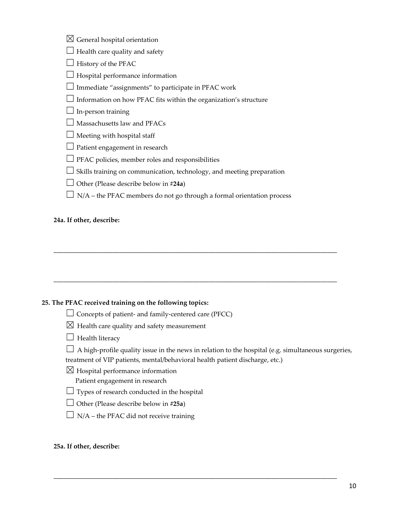| $\boxtimes$ General hospital orientation |  |
|------------------------------------------|--|
|------------------------------------------|--|

- $\Box$  Health care quality and safety
- $\Box$  History of the PFAC
- $\Box$  Hospital performance information
- $\Box$  Immediate "assignments" to participate in PFAC work
- $\Box$  Information on how PFAC fits within the organization's structure
- $\Box$  In-person training
- $\Box$  Massachusetts law and PFACs
- $\Box$  Meeting with hospital staff
- $\Box$  Patient engagement in research
- $\Box$  PFAC policies, member roles and responsibilities
- $\Box$  Skills training on communication, technology, and meeting preparation
- ☐ Other (Please describe below in #**24a**)
- $\Box$  N/A the PFAC members do not go through a formal orientation process

**\_\_\_\_\_\_\_\_\_\_\_\_\_\_\_\_\_\_\_\_\_\_\_\_\_\_\_\_\_\_\_\_\_\_\_\_\_\_\_\_\_\_\_\_\_\_\_\_\_\_\_\_\_\_\_\_\_\_\_\_\_\_\_\_\_\_\_\_\_\_\_\_\_\_\_\_\_\_\_\_\_\_\_\_\_\_**

**\_\_\_\_\_\_\_\_\_\_\_\_\_\_\_\_\_\_\_\_\_\_\_\_\_\_\_\_\_\_\_\_\_\_\_\_\_\_\_\_\_\_\_\_\_\_\_\_\_\_\_\_\_\_\_\_\_\_\_\_\_\_\_\_\_\_\_\_\_\_\_\_\_\_\_\_\_\_\_\_\_\_\_\_\_\_**

**\_\_\_\_\_\_\_\_\_\_\_\_\_\_\_\_\_\_\_\_\_\_\_\_\_\_\_\_\_\_\_\_\_\_\_\_\_\_\_\_\_\_\_\_\_\_\_\_\_\_\_\_\_\_\_\_\_\_\_\_\_\_\_\_\_\_\_\_\_\_\_\_\_\_\_\_\_\_\_\_\_\_\_\_\_\_**

### **24a. If other, describe:**

### **25. The PFAC received training on the following topics:**

- $\Box$  Concepts of patient- and family-centered care (PFCC)
- $\boxtimes$  Health care quality and safety measurement
- $\Box$  Health literacy
- $\Box$  A high-profile quality issue in the news in relation to the hospital (e.g. simultaneous surgeries,

treatment of VIP patients, mental/behavioral health patient discharge, etc.)

- $\boxtimes$  Hospital performance information
	- Patient engagement in research
- $\Box$  Types of research conducted in the hospital
- ☐ Other (Please describe below in **#25a**)
- $\Box$  N/A the PFAC did not receive training

#### **25a. If other, describe:**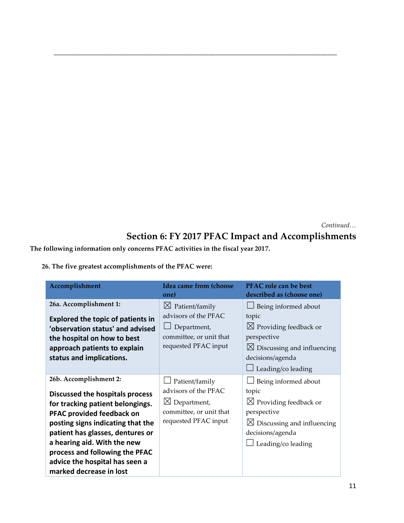*Continued…*

# **Section 6: FY 2017 PFAC Impact and Accomplishments**

## **The following information only concerns PFAC activities in the fiscal year 2017.**

## **26. The five greatest accomplishments of the PFAC were:**

| Accomplishment                                                               | Idea came from (choose<br>one)                        | PFAC role can be best<br>described as (choose one) |
|------------------------------------------------------------------------------|-------------------------------------------------------|----------------------------------------------------|
| 26a. Accomplishment 1:                                                       | Patient/family<br>$\boxtimes$<br>advisors of the PFAC | Being informed about<br>topic                      |
| <b>Explored the topic of patients in</b><br>'observation status' and advised | Department,                                           | $\boxtimes$ Providing feedback or                  |
| the hospital on how to best                                                  | committee, or unit that                               | perspective                                        |
| approach patients to explain                                                 | requested PFAC input                                  | $\boxtimes$ Discussing and influencing             |
| status and implications.                                                     |                                                       | decisions/agenda<br>Leading/co leading             |
| 26b. Accomplishment 2:                                                       | Patient/family                                        | Being informed about                               |
| Discussed the hospitals process                                              | advisors of the PFAC                                  | topic                                              |
| for tracking patient belongings.                                             | $\boxtimes$ Department,                               | $\boxtimes$ Providing feedback or                  |
| PFAC provided feedback on                                                    | committee, or unit that                               | perspective                                        |
| posting signs indicating that the                                            | requested PFAC input                                  | $\boxtimes$ Discussing and influencing             |
| patient has glasses, dentures or<br>a hearing aid. With the new              |                                                       | decisions/agenda                                   |
| process and following the PFAC                                               |                                                       | Leading/co leading                                 |
| advice the hospital has seen a                                               |                                                       |                                                    |
| marked decrease in lost                                                      |                                                       |                                                    |

**\_\_\_\_\_\_\_\_\_\_\_\_\_\_\_\_\_\_\_\_\_\_\_\_\_\_\_\_\_\_\_\_\_\_\_\_\_\_\_\_\_\_\_\_\_\_\_\_\_\_\_\_\_\_\_\_\_\_\_\_\_\_\_\_\_\_\_\_\_\_\_\_\_\_\_\_\_\_\_\_\_\_\_\_\_\_**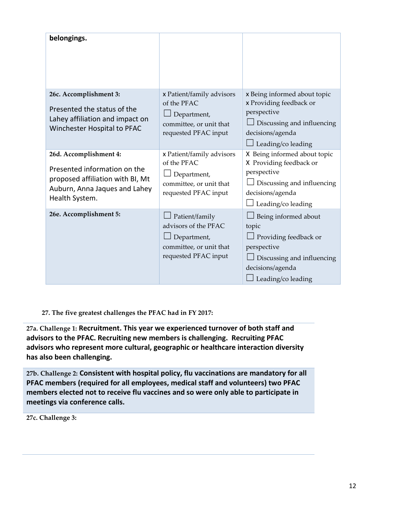| belongings.                                                                                                                                   |                                                                                                            |                                                                                                                                                       |
|-----------------------------------------------------------------------------------------------------------------------------------------------|------------------------------------------------------------------------------------------------------------|-------------------------------------------------------------------------------------------------------------------------------------------------------|
| 26c. Accomplishment 3:<br>Presented the status of the<br>Lahey affiliation and impact on<br>Winchester Hospital to PFAC                       | x Patient/family advisors<br>of the PFAC<br>Department,<br>committee, or unit that<br>requested PFAC input | x Being informed about topic<br>x Providing feedback or<br>perspective<br>Discussing and influencing<br>decisions/agenda<br>Leading/co leading        |
| 26d. Accomplishment 4:<br>Presented information on the<br>proposed affiliation with BI, Mt<br>Auburn, Anna Jaques and Lahey<br>Health System. | x Patient/family advisors<br>of the PFAC<br>Department,<br>committee, or unit that<br>requested PFAC input | X Being informed about topic<br>X Providing feedback or<br>perspective<br>Discussing and influencing<br>decisions/agenda<br>Leading/co leading        |
| 26e. Accomplishment 5:                                                                                                                        | Patient/family<br>advisors of the PFAC<br>Department,<br>committee, or unit that<br>requested PFAC input   | Being informed about<br>topic<br>$\perp$ Providing feedback or<br>perspective<br>Discussing and influencing<br>decisions/agenda<br>Leading/co leading |

**27. The five greatest challenges the PFAC had in FY 2017:**

**27a. Challenge 1: Recruitment. This year we experienced turnover of both staff and advisors to the PFAC. Recruiting new members is challenging. Recruiting PFAC advisors who represent more cultural, geographic or healthcare interaction diversity has also been challenging.** 

**27b. Challenge 2: Consistent with hospital policy, flu vaccinations are mandatory for all PFAC members (required for all employees, medical staff and volunteers) two PFAC members elected not to receive flu vaccines and so were only able to participate in meetings via conference calls.** 

**27c. Challenge 3:**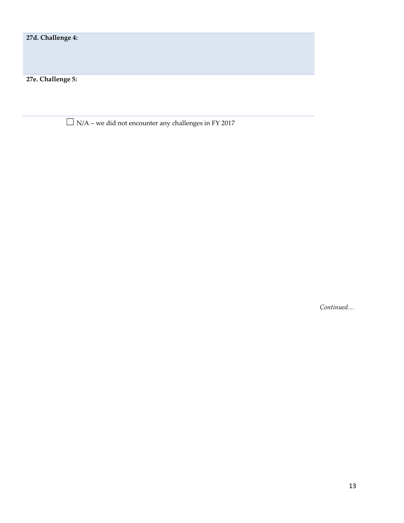**27d. Challenge 4:**

**27e. Challenge 5:**

 $\Box$  N/A – we did not encounter any challenges in FY 2017

*Continued…*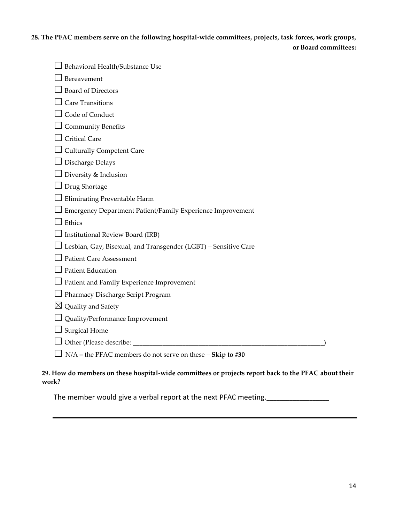## **28. The PFAC members serve on the following hospital-wide committees, projects, task forces, work groups, or Board committees:**

| Behavioral Health/Substance Use                                 |
|-----------------------------------------------------------------|
| Bereavement                                                     |
| <b>Board of Directors</b>                                       |
| Care Transitions                                                |
| Code of Conduct                                                 |
| <b>Community Benefits</b>                                       |
| Critical Care                                                   |
| <b>Culturally Competent Care</b>                                |
| Discharge Delays                                                |
| Diversity & Inclusion                                           |
| Drug Shortage                                                   |
| Eliminating Preventable Harm                                    |
| Emergency Department Patient/Family Experience Improvement      |
| Ethics                                                          |
| Institutional Review Board (IRB)                                |
| Lesbian, Gay, Bisexual, and Transgender (LGBT) - Sensitive Care |
| <b>Patient Care Assessment</b>                                  |
| <b>Patient Education</b>                                        |
| Patient and Family Experience Improvement                       |
| Pharmacy Discharge Script Program                               |
| Quality and Safety<br>$\boxtimes$                               |
| Quality/Performance Improvement                                 |
| <b>Surgical Home</b>                                            |
| Other (Please describe: _                                       |
| N/A - the PFAC members do not serve on these - Skip to #30      |

### **29. How do members on these hospital-wide committees or projects report back to the PFAC about their work?**

The member would give a verbal report at the next PFAC meeting.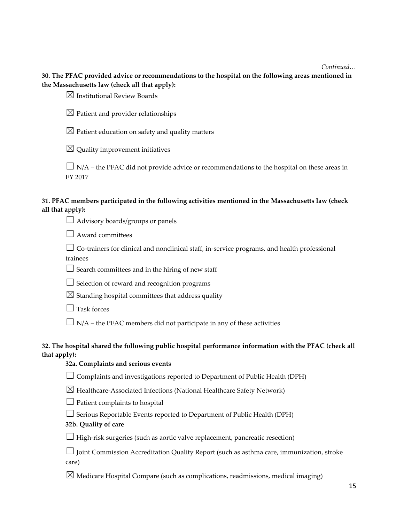#### *Continued…*

**30. The PFAC provided advice or recommendations to the hospital on the following areas mentioned in the Massachusetts law (check all that apply):** 

 $\boxtimes$  Institutional Review Boards

 $\boxtimes$  Patient and provider relationships

 $\boxtimes$  Patient education on safety and quality matters

 $\boxtimes$  Quality improvement initiatives

 $\Box$  N/A – the PFAC did not provide advice or recommendations to the hospital on these areas in FY 2017

### **31. PFAC members participated in the following activities mentioned in the Massachusetts law (check all that apply):**

 $\Box$  Advisory boards/groups or panels

 $\Box$  Award committees

 $\Box$  Co-trainers for clinical and nonclinical staff, in-service programs, and health professional trainees

 $\Box$  Search committees and in the hiring of new staff

 $\Box$  Selection of reward and recognition programs

 $\boxtimes$  Standing hospital committees that address quality

 $\Box$  Task forces

 $\Box$  N/A – the PFAC members did not participate in any of these activities

### **32. The hospital shared the following public hospital performance information with the PFAC (check all that apply):**

### **32a. Complaints and serious events**

 $\Box$  Complaints and investigations reported to Department of Public Health (DPH)

☒ Healthcare-Associated Infections (National Healthcare Safety Network)

 $\Box$  Patient complaints to hospital

 $\Box$  Serious Reportable Events reported to Department of Public Health (DPH)

**32b. Quality of care**

 $\Box$  High-risk surgeries (such as aortic valve replacement, pancreatic resection)

☐ Joint Commission Accreditation Quality Report (such as asthma care, immunization, stroke care)

 $\boxtimes$  Medicare Hospital Compare (such as complications, readmissions, medical imaging)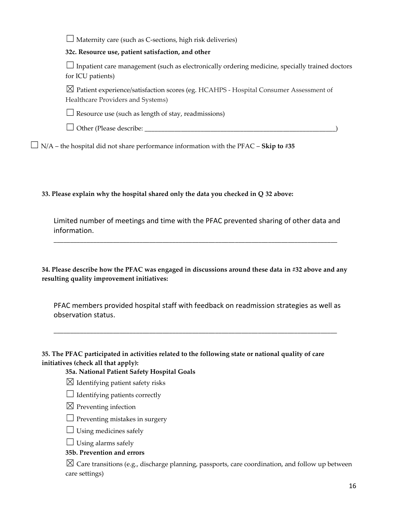$\Box$  Maternity care (such as C-sections, high risk deliveries)

**32c. Resource use, patient satisfaction, and other**

 $\Box$  Inpatient care management (such as electronically ordering medicine, specially trained doctors for ICU patients)

 $\boxtimes$  Patient experience/satisfaction scores (eg. HCAHPS - Hospital Consumer Assessment of Healthcare Providers and Systems)

 $\Box$  Resource use (such as length of stay, readmissions)

 $\Box$  Other (Please describe:  $\Box$ 

 $\Box$  N/A – the hospital did not share performance information with the PFAC – **Skip to #35** 

**33. Please explain why the hospital shared only the data you checked in Q 32 above:**

Limited number of meetings and time with the PFAC prevented sharing of other data and information.

**\_\_\_\_\_\_\_\_\_\_\_\_\_\_\_\_\_\_\_\_\_\_\_\_\_\_\_\_\_\_\_\_\_\_\_\_\_\_\_\_\_\_\_\_\_\_\_\_\_\_\_\_\_\_\_\_\_\_\_\_\_\_\_\_\_\_\_\_\_\_\_\_\_\_\_\_\_\_\_\_\_\_\_\_\_\_**

**34. Please describe how the PFAC was engaged in discussions around these data in #32 above and any resulting quality improvement initiatives:**

PFAC members provided hospital staff with feedback on readmission strategies as well as observation status.

**\_\_\_\_\_\_\_\_\_\_\_\_\_\_\_\_\_\_\_\_\_\_\_\_\_\_\_\_\_\_\_\_\_\_\_\_\_\_\_\_\_\_\_\_\_\_\_\_\_\_\_\_\_\_\_\_\_\_\_\_\_\_\_\_\_\_\_\_\_\_\_\_\_\_\_\_\_\_\_\_\_\_\_\_\_\_**

**35. The PFAC participated in activities related to the following state or national quality of care initiatives (check all that apply):** 

**35a. National Patient Safety Hospital Goals**

- $\boxtimes$  Identifying patient safety risks
- $\Box$  Identifying patients correctly
- $\boxtimes$  Preventing infection
- $\Box$  Preventing mistakes in surgery
- $\Box$  Using medicines safely

 $\Box$  Using alarms safely

### **35b. Prevention and errors**

 $\boxtimes$  Care transitions (e.g., discharge planning, passports, care coordination, and follow up between care settings)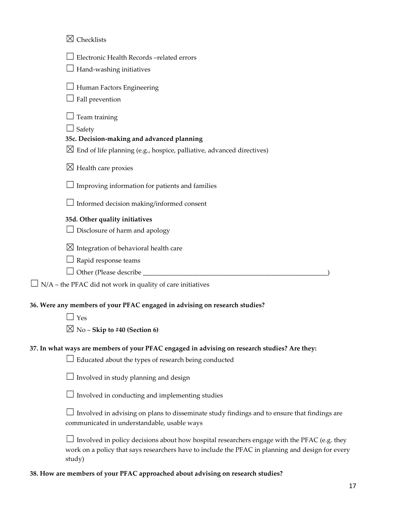| $\boxtimes$ Checklists                                                                                                                                     |
|------------------------------------------------------------------------------------------------------------------------------------------------------------|
| Electronic Health Records-related errors<br>Hand-washing initiatives                                                                                       |
| Human Factors Engineering<br>Fall prevention                                                                                                               |
| Team training<br>Safety<br>35c. Decision-making and advanced planning<br>$\boxtimes$ End of life planning (e.g., hospice, palliative, advanced directives) |
| $\boxtimes$ Health care proxies                                                                                                                            |
| Improving information for patients and families                                                                                                            |
| Informed decision making/informed consent                                                                                                                  |
| 35d. Other quality initiatives<br>Disclosure of harm and apology                                                                                           |
| $\boxtimes$ Integration of behavioral health care<br>Rapid response teams                                                                                  |
| $\rm N/A$ – the PFAC did not work in quality of care initiatives                                                                                           |
| 36. Were any members of your PFAC engaged in advising on research studies?<br>Yes<br>$\boxtimes$ No – Skip to #40 (Section 6)                              |
| 37. In what ways are members of your PFAC engaged in advising on research studies? Are they:<br>Educated about the types of research being conducted       |
| Involved in study planning and design                                                                                                                      |
| Involved in conducting and implementing studies                                                                                                            |
| Involved in advising on plans to disseminate study findings and to ensure that findings are<br>communicated in understandable, usable ways                 |
| I produced in policy decisions about how begins all researchers engage with the PEAC (e.g. the                                                             |

 $\Box$  Involved in policy decisions about how hospital researchers engage with the PFAC (e.g. they work on a policy that says researchers have to include the PFAC in planning and design for every study)

## **38. How are members of your PFAC approached about advising on research studies?**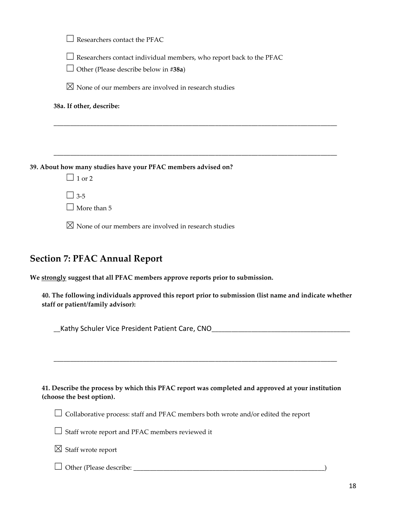| Researchers contact the PFAC                                                                                        |
|---------------------------------------------------------------------------------------------------------------------|
| Researchers contact individual members, who report back to the PFAC<br>$\Box$ Other (Please describe below in #38a) |
| $\boxtimes$ None of our members are involved in research studies                                                    |
| 38a. If other, describe:                                                                                            |
|                                                                                                                     |
|                                                                                                                     |
| 39. About how many studies have your PFAC members advised on?                                                       |
| $\Box$ 1 or 2                                                                                                       |
| $\Box$ 3-5                                                                                                          |
| $\Box$ More than 5                                                                                                  |
| $\boxtimes$ None of our members are involved in research studies                                                    |

## **Section 7: PFAC Annual Report**

**We strongly suggest that all PFAC members approve reports prior to submission.** 

**40. The following individuals approved this report prior to submission (list name and indicate whether staff or patient/family advisor):** 

**\_\_**Kathy Schuler Vice President Patient Care, CNO**\_\_\_\_\_\_\_\_\_\_\_\_\_\_\_\_\_\_\_\_\_\_\_\_\_\_\_\_\_\_\_\_\_\_\_\_\_\_\_\_\_\_**

**41. Describe the process by which this PFAC report was completed and approved at your institution (choose the best option).**

**\_\_\_\_\_\_\_\_\_\_\_\_\_\_\_\_\_\_\_\_\_\_\_\_\_\_\_\_\_\_\_\_\_\_\_\_\_\_\_\_\_\_\_\_\_\_\_\_\_\_\_\_\_\_\_\_\_\_\_\_\_\_\_\_\_\_\_\_\_\_\_\_\_\_\_\_\_\_\_\_\_\_\_\_\_\_**

☐ Collaborative process: staff and PFAC members both wrote and/or edited the report

☐ Staff wrote report and PFAC members reviewed it

 $\boxtimes$  Staff wrote report

☐ Other (Please describe: \_\_\_\_\_\_\_\_\_\_\_\_\_\_\_\_\_\_\_\_\_\_\_\_\_\_\_\_\_\_\_\_\_\_\_\_\_\_\_\_\_\_\_\_\_\_\_\_\_\_\_\_\_\_\_\_\_\_)